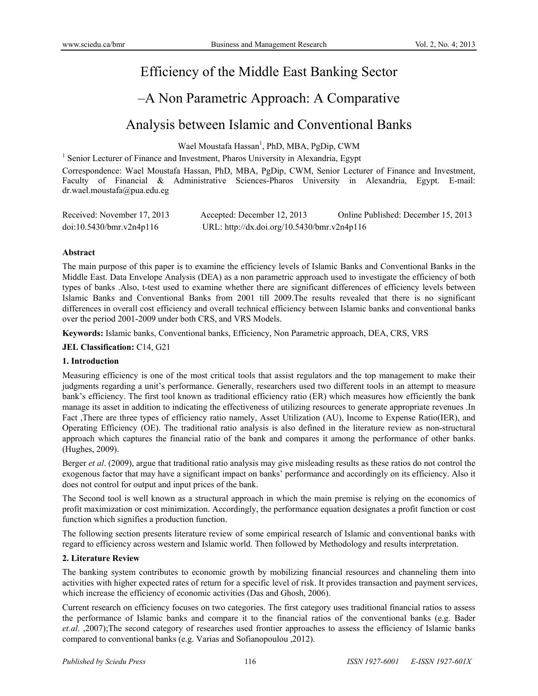# Efficiency of the Middle East Banking Sector

# –A Non Parametric Approach: A Comparative

# Analysis between Islamic and Conventional Banks

Wael Moustafa Hassan<sup>1</sup>, PhD, MBA, PgDip, CWM

Wael Moustafa Hassan<sup>1</sup>, PhD, MBA, PgDip, CWM<br><sup>1</sup> Senior Lecturer of Finance and Investment, Pharos University in Alexandria, Egypt

Correspondence: Wael Moustafa Hassan, PhD, MBA, PgDip, CWM, Senior Lecturer of Finance and Investment, Faculty of Financial & Administrative Sciences-Pharos University in Alexandria, Egypt. E-mail: dr.wael.moustafa@pua.edu.eg

| Received: November 17, 2013 | Accepted: December 12, 2013                 | Online Published: December 15, 2013 |
|-----------------------------|---------------------------------------------|-------------------------------------|
| doi:10.5430/bmr.v2n4p116    | URL: http://dx.doi.org/10.5430/bmr.v2n4p116 |                                     |

### **Abstract**

The main purpose of this paper is to examine the efficiency levels of Islamic Banks and Conventional Banks in the Middle East. Data Envelope Analysis (DEA) as a non parametric approach used to investigate the efficiency of both types of banks .Also, t-test used to examine whether there are significant differences of efficiency levels between Islamic Banks and Conventional Banks from 2001 till 2009.The results revealed that there is no significant differences in overall cost efficiency and overall technical efficiency between Islamic banks and conventional banks over the period 2001-2009 under both CRS, and VRS Models.

**Keywords:** Islamic banks, Conventional banks, Efficiency, Non Parametric approach, DEA, CRS, VRS

**JEL Classification:** C14, G21

# **1. Introduction**

Measuring efficiency is one of the most critical tools that assist regulators and the top management to make their judgments regarding a unit's performance. Generally, researchers used two different tools in an attempt to measure bank's efficiency. The first tool known as traditional efficiency ratio (ER) which measures how efficiently the bank manage its asset in addition to indicating the effectiveness of utilizing resources to generate appropriate revenues .In Fact ,There are three types of efficiency ratio namely, Asset Utilization (AU), Income to Expense Ratio(IER), and Operating Efficiency (OE). The traditional ratio analysis is also defined in the literature review as non-structural approach which captures the financial ratio of the bank and compares it among the performance of other banks. (Hughes, 2009).

Berger *et al*. (2009), argue that traditional ratio analysis may give misleading results as these ratios do not control the exogenous factor that may have a significant impact on banks' performance and accordingly on its efficiency. Also it does not control for output and input prices of the bank.

The Second tool is well known as a structural approach in which the main premise is relying on the economics of profit maximization or cost minimization. Accordingly, the performance equation designates a profit function or cost function which signifies a production function.

The following section presents literature review of some empirical research of Islamic and conventional banks with regard to efficiency across western and Islamic world. Then followed by Methodology and results interpretation.

# **2. Literature Review**

The banking system contributes to economic growth by mobilizing financial resources and channeling them into activities with higher expected rates of return for a specific level of risk. It provides transaction and payment services, which increase the efficiency of economic activities (Das and Ghosh, 2006).

Current research on efficiency focuses on two categories. The first category uses traditional financial ratios to assess the performance of Islamic banks and compare it to the financial ratios of the conventional banks (e.g. Bader *et.al*. ,2007);The second category of researches used frontier approaches to assess the efficiency of Islamic banks compared to conventional banks (e.g. Varias and Sofianopoulou ,2012).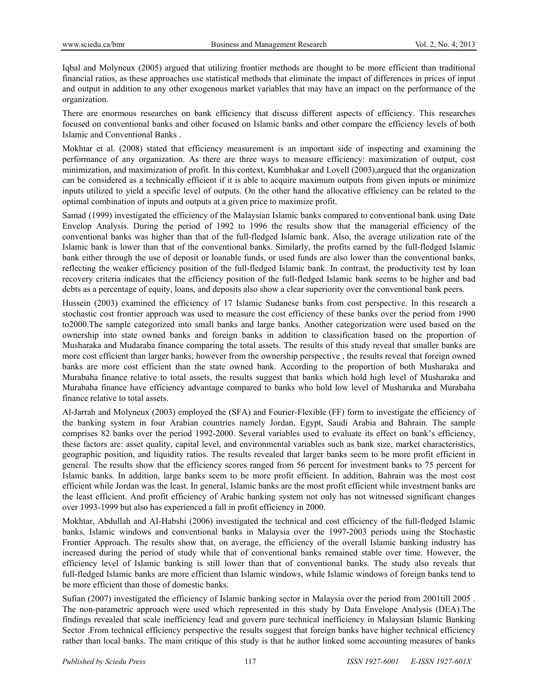Iqbal and Molyneux (2005) argued that utilizing frontier methods are thought to be more efficient than traditional financial ratios, as these approaches use statistical methods that eliminate the impact of differences in prices of input and output in addition to any other exogenous market variables that may have an impact on the performance of the organization.

There are enormous researches on bank efficiency that discuss different aspects of efficiency. This researches focused on conventional banks and other focused on Islamic banks and other compare the efficiency levels of both Islamic and Conventional Banks .

Mokhtar et al. (2008) stated that efficiency measurement is an important side of inspecting and examining the performance of any organization. As there are three ways to measure efficiency: maximization of output, cost minimization, and maximization of profit. In this context, Kumbhakar and Lovell (2003),argued that the organization can be considered as a technically efficient if it is able to acquire maximum outputs from given inputs or minimize inputs utilized to yield a specific level of outputs. On the other hand the allocative efficiency can be related to the optimal combination of inputs and outputs at a given price to maximize profit.

Samad (1999) investigated the efficiency of the Malaysian Islamic banks compared to conventional bank using Date Envelop Analysis. During the period of 1992 to 1996 the results show that the managerial efficiency of the conventional banks was higher than that of the full-fledged Islamic bank. Also, the average utilization rate of the Islamic bank is lower than that of the conventional banks. Similarly, the profits earned by the full-fledged Islamic bank either through the use of deposit or loanable funds, or used funds are also lower than the conventional banks, reflecting the weaker efficiency position of the full-fledged Islamic bank. In contrast, the productivity test by loan recovery criteria indicates that the efficiency position of the full-fledged Islamic bank seems to be higher and bad debts as a percentage of equity, loans, and deposits also show a clear superiority over the conventional bank peers.

Hussein (2003) examined the efficiency of 17 Islamic Sudanese banks from cost perspective. In this research a stochastic cost frontier approach was used to measure the cost efficiency of these banks over the period from 1990 to2000.The sample categorized into small banks and large banks. Another categorization were used based on the ownership into state owned banks and foreign banks in addition to classification based on the proportion of Musharaka and Mudaraba finance comparing the total assets. The results of this study reveal that smaller banks are more cost efficient than larger banks; however from the ownership perspective , the results reveal that foreign owned banks are more cost efficient than the state owned bank. According to the proportion of both Musharaka and Murabaha finance relative to total assets, the results suggest that banks which hold high level of Musharaka and Murabaha finance have efficiency advantage compared to banks who hold low level of Musharaka and Murabaha finance relative to total assets.

Al-Jarrah and Molyneux (2003) employed the (SFA) and Fourier-Flexible (FF) form to investigate the efficiency of the banking system in four Arabian countries namely Jordan, Egypt, Saudi Arabia and Bahrain. The sample comprises 82 banks over the period 1992-2000. Several variables used to evaluate its effect on bank's efficiency, these factors are: asset quality, capital level, and environmental variables such as bank size, market characteristics, geographic position, and liquidity ratios. The results revealed that larger banks seem to be more profit efficient in general. The results show that the efficiency scores ranged from 56 percent for investment banks to 75 percent for Islamic banks. In addition, large banks seem to be more profit efficient. In addition, Bahrain was the most cost efficient while Jordan was the least. In general, Islamic banks are the most profit efficient while investment banks are the least efficient. And profit efficiency of Arabic banking system not only has not witnessed significant changes over 1993-1999 but also has experienced a fall in profit efficiency in 2000.

Mokhtar, Abdullah and AI-Habshi (2006) investigated the technical and cost efficiency of the full-fledged Islamic banks, Islamic windows and conventional banks in Malaysia over the 1997-2003 periods using the Stochastic Frontier Approach. The results show that, on average, the efficiency of the overall Islamic banking industry has increased during the period of study while that of conventional banks remained stable over time. However, the efficiency level of Islamic banking is still lower than that of conventional banks. The study also reveals that full-fledged Islamic banks are more efficient than Islamic windows, while Islamic windows of foreign banks tend to be more efficient than those of domestic banks.

Sufian (2007) investigated the efficiency of Islamic banking sector in Malaysia over the period from 2001till 2005 . The non-parametric approach were used which represented in this study by Data Envelope Analysis (DEA).The findings revealed that scale inefficiency lead and govern pure technical inefficiency in Malaysian Islamic Banking Sector .From technical efficiency perspective the results suggest that foreign banks have higher technical efficiency rather than local banks. The main critique of this study is that he author linked some accounting measures of banks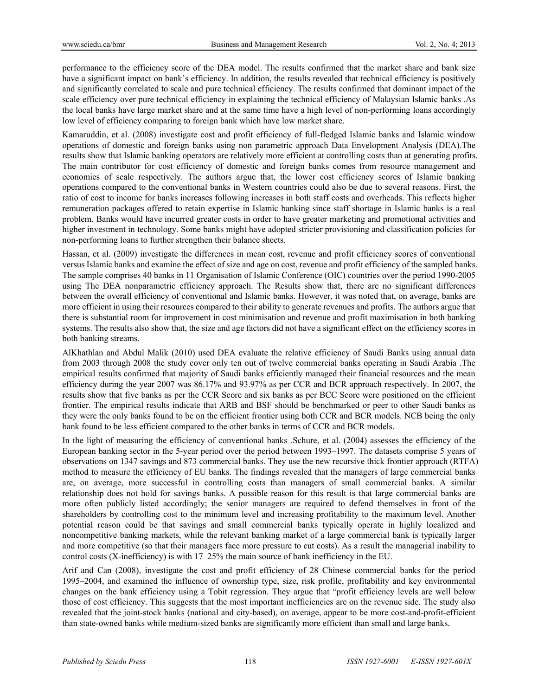performance to the efficiency score of the DEA model. The results confirmed that the market share and bank size have a significant impact on bank's efficiency. In addition, the results revealed that technical efficiency is positively and significantly correlated to scale and pure technical efficiency. The results confirmed that dominant impact of the scale efficiency over pure technical efficiency in explaining the technical efficiency of Malaysian Islamic banks .As the local banks have large market share and at the same time have a high level of non-performing loans accordingly low level of efficiency comparing to foreign bank which have low market share.

Kamaruddin, et al. (2008) investigate cost and profit efficiency of full-fledged Islamic banks and Islamic window operations of domestic and foreign banks using non parametric approach Data Envelopment Analysis (DEA).The results show that Islamic banking operators are relatively more efficient at controlling costs than at generating profits. The main contributor for cost efficiency of domestic and foreign banks comes from resource management and economies of scale respectively. The authors argue that, the lower cost efficiency scores of Islamic banking operations compared to the conventional banks in Western countries could also be due to several reasons. First, the ratio of cost to income for banks increases following increases in both staff costs and overheads. This reflects higher remuneration packages offered to retain expertise in Islamic banking since staff shortage in Islamic banks is a real problem. Banks would have incurred greater costs in order to have greater marketing and promotional activities and higher investment in technology. Some banks might have adopted stricter provisioning and classification policies for non-performing loans to further strengthen their balance sheets.

Hassan, et al. (2009) investigate the differences in mean cost, revenue and profit efficiency scores of conventional versus Islamic banks and examine the effect of size and age on cost, revenue and profit efficiency of the sampled banks. The sample comprises 40 banks in 11 Organisation of Islamic Conference (OIC) countries over the period 1990-2005 using The DEA nonparametric efficiency approach. The Results show that, there are no significant differences between the overall efficiency of conventional and Islamic banks. However, it was noted that, on average, banks are more efficient in using their resources compared to their ability to generate revenues and profits. The authors argue that there is substantial room for improvement in cost minimisation and revenue and profit maximisation in both banking systems. The results also show that, the size and age factors did not have a significant effect on the efficiency scores in both banking streams.

AlKhathlan and Abdul Malik (2010) used DEA evaluate the relative efficiency of Saudi Banks using annual data from 2003 through 2008 the study cover only ten out of twelve commercial banks operating in Saudi Arabia .The empirical results confirmed that majority of Saudi banks efficiently managed their financial resources and the mean efficiency during the year 2007 was 86.17% and 93.97% as per CCR and BCR approach respectively. In 2007, the results show that five banks as per the CCR Score and six banks as per BCC Score were positioned on the efficient frontier. The empirical results indicate that ARB and BSF should be benchmarked or peer to other Saudi banks as they were the only banks found to be on the efficient frontier using both CCR and BCR models. NCB being the only bank found to be less efficient compared to the other banks in terms of CCR and BCR models.

In the light of measuring the efficiency of conventional banks .Schure, et al. (2004) assesses the efficiency of the European banking sector in the 5-year period over the period between 1993–1997. The datasets comprise 5 years of observations on 1347 savings and 873 commercial banks. They use the new recursive thick frontier approach (RTFA) method to measure the efficiency of EU banks. The findings revealed that the managers of large commercial banks are, on average, more successful in controlling costs than managers of small commercial banks. A similar relationship does not hold for savings banks. A possible reason for this result is that large commercial banks are more often publicly listed accordingly; the senior managers are required to defend themselves in front of the shareholders by controlling cost to the minimum level and increasing profitability to the maximum level. Another potential reason could be that savings and small commercial banks typically operate in highly localized and noncompetitive banking markets, while the relevant banking market of a large commercial bank is typically larger and more competitive (so that their managers face more pressure to cut costs). As a result the managerial inability to control costs (X-inefficiency) is with 17–25% the main source of bank inefficiency in the EU.

Arif and Can (2008), investigate the cost and profit efficiency of 28 Chinese commercial banks for the period 1995–2004, and examined the influence of ownership type, size, risk profile, profitability and key environmental changes on the bank efficiency using a Tobit regression. They argue that "profit efficiency levels are well below those of cost efficiency. This suggests that the most important inefficiencies are on the revenue side. The study also revealed that the joint-stock banks (national and city-based), on average, appear to be more cost-and-profit-efficient than state-owned banks while medium-sized banks are significantly more efficient than small and large banks.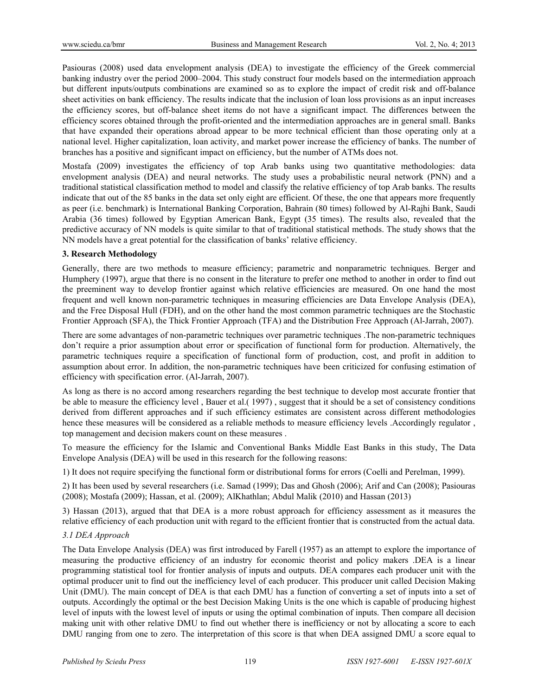Pasiouras (2008) used data envelopment analysis (DEA) to investigate the efficiency of the Greek commercial banking industry over the period 2000–2004. This study construct four models based on the intermediation approach but different inputs/outputs combinations are examined so as to explore the impact of credit risk and off-balance sheet activities on bank efficiency. The results indicate that the inclusion of loan loss provisions as an input increases the efficiency scores, but off-balance sheet items do not have a significant impact. The differences between the efficiency scores obtained through the profit-oriented and the intermediation approaches are in general small. Banks that have expanded their operations abroad appear to be more technical efficient than those operating only at a national level. Higher capitalization, loan activity, and market power increase the efficiency of banks. The number of branches has a positive and significant impact on efficiency, but the number of ATMs does not.

Mostafa (2009) investigates the efficiency of top Arab banks using two quantitative methodologies: data envelopment analysis (DEA) and neural networks. The study uses a probabilistic neural network (PNN) and a traditional statistical classification method to model and classify the relative efficiency of top Arab banks. The results indicate that out of the 85 banks in the data set only eight are efficient. Of these, the one that appears more frequently as peer (i.e. benchmark) is International Banking Corporation, Bahrain (80 times) followed by Al-Rajhi Bank, Saudi Arabia (36 times) followed by Egyptian American Bank, Egypt (35 times). The results also, revealed that the predictive accuracy of NN models is quite similar to that of traditional statistical methods. The study shows that the NN models have a great potential for the classification of banks' relative efficiency.

# **3. Research Methodology**

Generally, there are two methods to measure efficiency; parametric and nonparametric techniques. Berger and Humphery (1997), argue that there is no consent in the literature to prefer one method to another in order to find out the preeminent way to develop frontier against which relative efficiencies are measured. On one hand the most frequent and well known non-parametric techniques in measuring efficiencies are Data Envelope Analysis (DEA), and the Free Disposal Hull (FDH), and on the other hand the most common parametric techniques are the Stochastic Frontier Approach (SFA), the Thick Frontier Approach (TFA) and the Distribution Free Approach (Al-Jarrah, 2007).

There are some advantages of non-parametric techniques over parametric techniques .The non-parametric techniques don't require a prior assumption about error or specification of functional form for production. Alternatively, the parametric techniques require a specification of functional form of production, cost, and profit in addition to assumption about error. In addition, the non-parametric techniques have been criticized for confusing estimation of efficiency with specification error. (Al-Jarrah, 2007).

As long as there is no accord among researchers regarding the best technique to develop most accurate frontier that be able to measure the efficiency level , Bauer et al.( 1997) , suggest that it should be a set of consistency conditions derived from different approaches and if such efficiency estimates are consistent across different methodologies hence these measures will be considered as a reliable methods to measure efficiency levels .Accordingly regulator , top management and decision makers count on these measures .

To measure the efficiency for the Islamic and Conventional Banks Middle East Banks in this study, The Data Envelope Analysis (DEA) will be used in this research for the following reasons:

1) It does not require specifying the functional form or distributional forms for errors (Coelli and Perelman, 1999).

2) It has been used by several researchers (i.e. Samad (1999); Das and Ghosh (2006); Arif and Can (2008); Pasiouras (2008); Mostafa (2009); Hassan, et al. (2009); AlKhathlan; Abdul Malik (2010) and Hassan (2013)

3) Hassan (2013), argued that that DEA is a more robust approach for efficiency assessment as it measures the relative efficiency of each production unit with regard to the efficient frontier that is constructed from the actual data.

# *3.1 DEA Approach*

The Data Envelope Analysis (DEA) was first introduced by Farell (1957) as an attempt to explore the importance of measuring the productive efficiency of an industry for economic theorist and policy makers .DEA is a linear programming statistical tool for frontier analysis of inputs and outputs. DEA compares each producer unit with the optimal producer unit to find out the inefficiency level of each producer. This producer unit called Decision Making Unit (DMU). The main concept of DEA is that each DMU has a function of converting a set of inputs into a set of outputs. Accordingly the optimal or the best Decision Making Units is the one which is capable of producing highest level of inputs with the lowest level of inputs or using the optimal combination of inputs. Then compare all decision making unit with other relative DMU to find out whether there is inefficiency or not by allocating a score to each DMU ranging from one to zero. The interpretation of this score is that when DEA assigned DMU a score equal to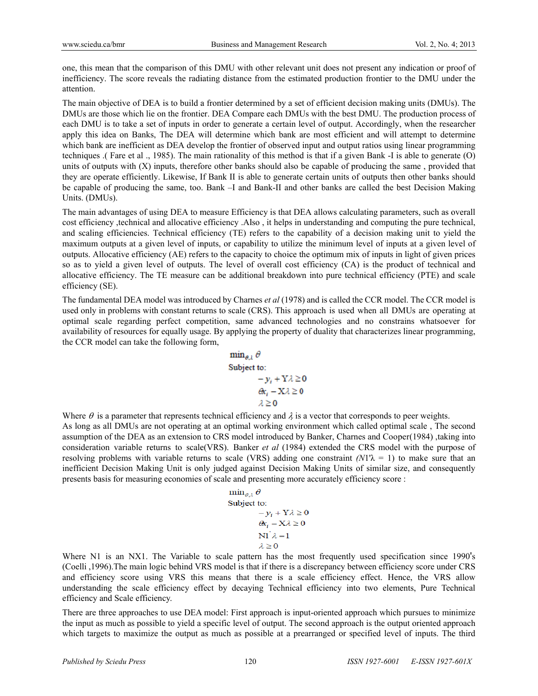one, this mean that the comparison of this DMU with other relevant unit does not present any indication or proof of inefficiency. The score reveals the radiating distance from the estimated production frontier to the DMU under the attention.

The main objective of DEA is to build a frontier determined by a set of efficient decision making units (DMUs). The DMUs are those which lie on the frontier. DEA Compare each DMUs with the best DMU. The production process of each DMU is to take a set of inputs in order to generate a certain level of output. Accordingly, when the researcher apply this idea on Banks, The DEA will determine which bank are most efficient and will attempt to determine which bank are inefficient as DEA develop the frontier of observed input and output ratios using linear programming techniques (Fare et al ., 1985). The main rationality of this method is that if a given Bank -I is able to generate (O) units of outputs with (X) inputs, therefore other banks should also be capable of producing the same, provided that they are operate efficiently. Likewise, If Bank II is able to generate certain units of outputs then other banks should be capable of producing the same, too. Bank -I and Bank-II and other banks are called the best Decision Making Units. (DMUs).

The main advantages of using DEA to measure Efficiency is that DEA allows calculating parameters, such as overall cost efficiency, technical and allocative efficiency .Also, it helps in understanding and computing the pure technical, and scaling efficiencies. Technical efficiency (TE) refers to the capability of a decision making unit to yield the maximum outputs at a given level of inputs, or capability to utilize the minimum level of inputs at a given level of outputs. Allocative efficiency (AE) refers to the capacity to choice the optimum mix of inputs in light of given prices so as to yield a given level of outputs. The level of overall cost efficiency (CA) is the product of technical and allocative efficiency. The TE measure can be additional breakdown into pure technical efficiency (PTE) and scale efficiency (SE).

The fundamental DEA model was introduced by Charnes *et al* (1978) and is called the CCR model. The CCR model is used only in problems with constant returns to scale (CRS). This approach is used when all DMUs are operating at optimal scale regarding perfect competition, same advanced technologies and no constrains whatsoever for availability of resources for equally usage. By applying the property of duality that characterizes linear programming, the CCR model can take the following form,

$$
\min_{\theta, \lambda} \theta
$$
  
Subject to:  

$$
-y_i + \text{Y} \lambda \ge 0
$$
  

$$
\theta x_i - \text{X} \lambda \ge 0
$$
  

$$
\lambda \ge 0
$$

Where  $\theta$  is a parameter that represents technical efficiency and  $\lambda$  is a vector that corresponds to peer weights. As long as all DMUs are not operating at an optimal working environment which called optimal scale, The second assumption of the DEA as an extension to CRS model introduced by Banker, Charnes and Cooper(1984), taking into consideration variable returns to scale(VRS). Banker *et al* (1984) extended the CRS model with the purpose of resolving problems with variable returns to scale (VRS) adding one constraint  $(N1\lambda = 1)$  to make sure that an inefficient Decision Making Unit is only judged against Decision Making Units of similar size, and consequently presents basis for measuring economies of scale and presenting more accurately efficiency score :

$$
\min_{\theta, \lambda} \theta
$$
  
Subject to:  

$$
-y_i + \mathbf{Y}\lambda \ge 0
$$
  

$$
\theta x_i - \mathbf{X}\lambda \ge 0
$$
  

$$
\mathbf{N}\mathbf{1}^{\prime} \lambda = 1
$$
  

$$
\lambda \ge 0
$$

Where N1 is an NX1. The Variable to scale pattern has the most frequently used specification since 1990's (Coelli ,1996). The main logic behind VRS model is that if there is a discrepancy between efficiency score under CRS and efficiency score using VRS this means that there is a scale efficiency effect. Hence, the VRS allow understanding the scale efficiency effect by decaying Technical efficiency into two elements, Pure Technical efficiency and Scale efficiency.

There are three approaches to use DEA model: First approach is input-oriented approach which pursues to minimize the input as much as possible to yield a specific level of output. The second approach is the output oriented approach which targets to maximize the output as much as possible at a prearranged or specified level of inputs. The third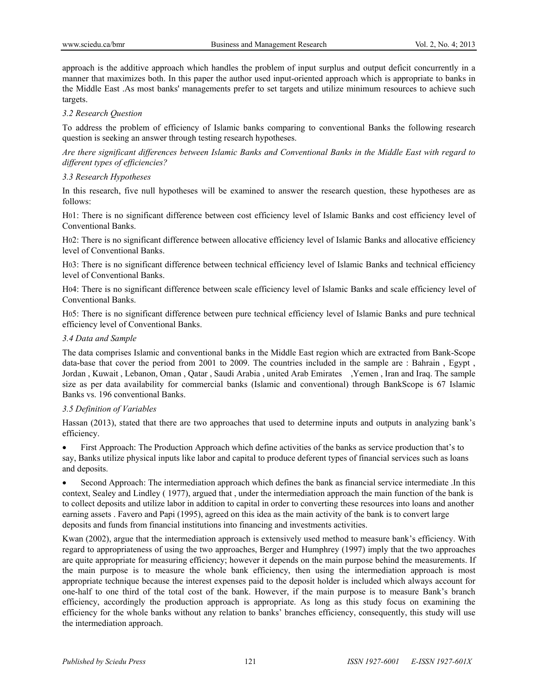approach is the additive approach which handles the problem of input surplus and output deficit concurrently in a manner that maximizes both. In this paper the author used input-oriented approach which is appropriate to banks in the Middle East .As most banks' managements prefer to set targets and utilize minimum resources to achieve such targets.

# *3.2 Research Question*

To address the problem of efficiency of Islamic banks comparing to conventional Banks the following research question is seeking an answer through testing research hypotheses.

*Are there significant differences between Islamic Banks and Conventional Banks in the Middle East with regard to different types of efficiencies?* 

# *3.3 Research Hypotheses*

In this research, five null hypotheses will be examined to answer the research question, these hypotheses are as follows:

H01: There is no significant difference between cost efficiency level of Islamic Banks and cost efficiency level of Conventional Banks.

H02: There is no significant difference between allocative efficiency level of Islamic Banks and allocative efficiency level of Conventional Banks.

H03: There is no significant difference between technical efficiency level of Islamic Banks and technical efficiency level of Conventional Banks.

H04: There is no significant difference between scale efficiency level of Islamic Banks and scale efficiency level of Conventional Banks.

H05: There is no significant difference between pure technical efficiency level of Islamic Banks and pure technical efficiency level of Conventional Banks.

### *3.4 Data and Sample*

The data comprises Islamic and conventional banks in the Middle East region which are extracted from Bank-Scope data-base that cover the period from 2001 to 2009. The countries included in the sample are : Bahrain , Egypt , Jordan , Kuwait , Lebanon, Oman , Qatar , Saudi Arabia , united Arab Emirates ,Yemen , Iran and Iraq. The sample size as per data availability for commercial banks (Islamic and conventional) through BankScope is 67 Islamic Banks vs. 196 conventional Banks.

# *3.5 Definition of Variables*

Hassan (2013), stated that there are two approaches that used to determine inputs and outputs in analyzing bank's efficiency.

 First Approach: The Production Approach which define activities of the banks as service production that's to say, Banks utilize physical inputs like labor and capital to produce deferent types of financial services such as loans and deposits.

 Second Approach: The intermediation approach which defines the bank as financial service intermediate .In this context, Sealey and Lindley ( 1977), argued that , under the intermediation approach the main function of the bank is to collect deposits and utilize labor in addition to capital in order to converting these resources into loans and another earning assets . Favero and Papi (1995), agreed on this idea as the main activity of the bank is to convert large deposits and funds from financial institutions into financing and investments activities.

Kwan (2002), argue that the intermediation approach is extensively used method to measure bank's efficiency. With regard to appropriateness of using the two approaches, Berger and Humphrey (1997) imply that the two approaches are quite appropriate for measuring efficiency; however it depends on the main purpose behind the measurements. If the main purpose is to measure the whole bank efficiency, then using the intermediation approach is most appropriate technique because the interest expenses paid to the deposit holder is included which always account for one-half to one third of the total cost of the bank. However, if the main purpose is to measure Bank's branch efficiency, accordingly the production approach is appropriate. As long as this study focus on examining the efficiency for the whole banks without any relation to banks' branches efficiency, consequently, this study will use the intermediation approach.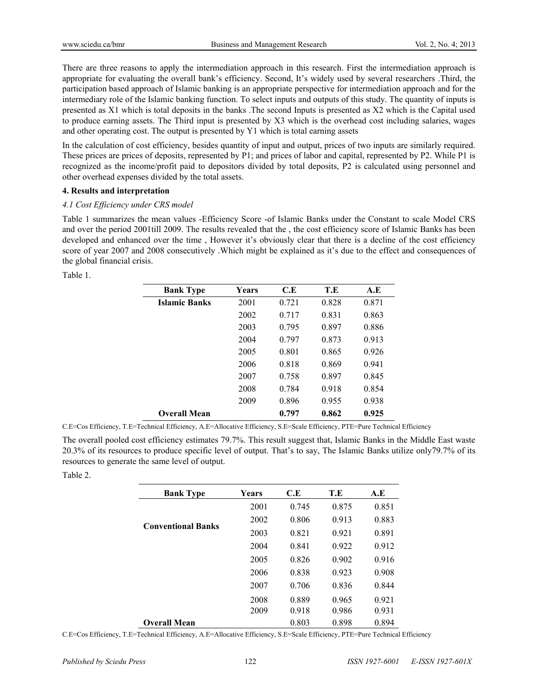There are three reasons to apply the intermediation approach in this research. First the intermediation approach is appropriate for evaluating the overall bank's efficiency. Second, It's widely used by several researchers .Third, the participation based approach of Islamic banking is an appropriate perspective for intermediation approach and for the intermediary role of the Islamic banking function. To select inputs and outputs of this study. The quantity of inputs is presented as X1 which is total deposits in the banks .The second Inputs is presented as X2 which is the Capital used to produce earning assets. The Third input is presented by X3 which is the overhead cost including salaries, wages and other operating cost. The output is presented by Y1 which is total earning assets

In the calculation of cost efficiency, besides quantity of input and output, prices of two inputs are similarly required. These prices are prices of deposits, represented by P1; and prices of labor and capital, represented by P2. While P1 is recognized as the income/profit paid to depositors divided by total deposits, P2 is calculated using personnel and other overhead expenses divided by the total assets.

# **4. Results and interpretation**

# *4.1 Cost Efficiency under CRS model*

Table 1 summarizes the mean values -Efficiency Score -of Islamic Banks under the Constant to scale Model CRS and over the period 2001till 2009. The results revealed that the , the cost efficiency score of Islamic Banks has been developed and enhanced over the time, However it's obviously clear that there is a decline of the cost efficiency score of year 2007 and 2008 consecutively .Which might be explained as it's due to the effect and consequences of the global financial crisis.

Table 1.

| <b>Bank Type</b>     | Years | C.E   | T.E   | A.E   |
|----------------------|-------|-------|-------|-------|
| <b>Islamic Banks</b> | 2001  | 0.721 | 0.828 | 0.871 |
|                      | 2002  | 0.717 | 0.831 | 0.863 |
|                      | 2003  | 0.795 | 0.897 | 0.886 |
|                      | 2004  | 0.797 | 0.873 | 0.913 |
|                      | 2005  | 0.801 | 0.865 | 0.926 |
|                      | 2006  | 0.818 | 0.869 | 0.941 |
|                      | 2007  | 0.758 | 0.897 | 0.845 |
|                      | 2008  | 0.784 | 0.918 | 0.854 |
|                      | 2009  | 0.896 | 0.955 | 0.938 |
| <b>Overall Mean</b>  |       | 0.797 | 0.862 | 0.925 |

C.E=Cos Efficiency, T.E=Technical Efficiency, A.E=Allocative Efficiency, S.E=Scale Efficiency, PTE=Pure Technical Efficiency

The overall pooled cost efficiency estimates 79.7%. This result suggest that, Islamic Banks in the Middle East waste 20.3% of its resources to produce specific level of output. That's to say, The Islamic Banks utilize only79.7% of its resources to generate the same level of output.

Table 2.

| <b>Bank Type</b>          | Years | C.E   | T.E   | A.E   |
|---------------------------|-------|-------|-------|-------|
|                           | 2001  | 0.745 | 0.875 | 0.851 |
| <b>Conventional Banks</b> | 2002  | 0.806 | 0.913 | 0.883 |
|                           | 2003  | 0.821 | 0.921 | 0.891 |
|                           | 2004  | 0.841 | 0.922 | 0.912 |
|                           | 2005  | 0.826 | 0.902 | 0.916 |
|                           | 2006  | 0.838 | 0.923 | 0.908 |
|                           | 2007  | 0.706 | 0.836 | 0.844 |
|                           | 2008  | 0.889 | 0.965 | 0.921 |
|                           | 2009  | 0.918 | 0.986 | 0.931 |
| <b>Overall Mean</b>       |       | 0.803 | 0.898 | 0.894 |

C.E=Cos Efficiency, T.E=Technical Efficiency, A.E=Allocative Efficiency, S.E=Scale Efficiency, PTE=Pure Technical Efficiency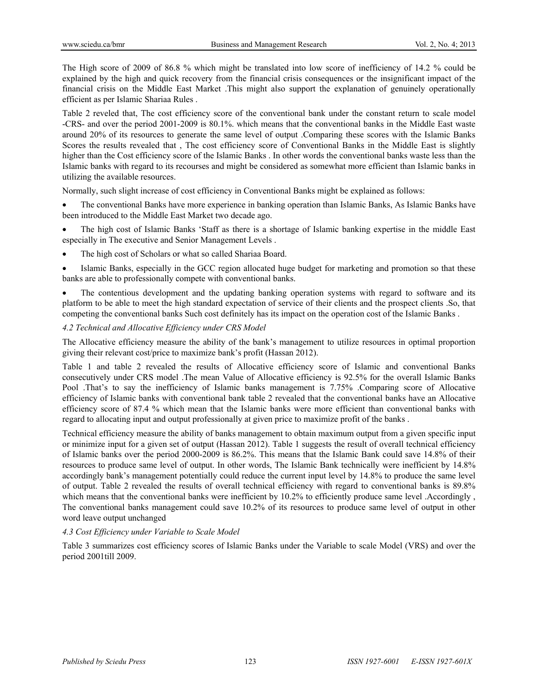The High score of 2009 of 86.8 % which might be translated into low score of inefficiency of 14.2 % could be explained by the high and quick recovery from the financial crisis consequences or the insignificant impact of the financial crisis on the Middle East Market .This might also support the explanation of genuinely operationally efficient as per Islamic Shariaa Rules .

Table 2 reveled that, The cost efficiency score of the conventional bank under the constant return to scale model -CRS- and over the period 2001-2009 is 80.1%. which means that the conventional banks in the Middle East waste around 20% of its resources to generate the same level of output .Comparing these scores with the Islamic Banks Scores the results revealed that , The cost efficiency score of Conventional Banks in the Middle East is slightly higher than the Cost efficiency score of the Islamic Banks . In other words the conventional banks waste less than the Islamic banks with regard to its recourses and might be considered as somewhat more efficient than Islamic banks in utilizing the available resources.

Normally, such slight increase of cost efficiency in Conventional Banks might be explained as follows:

- The conventional Banks have more experience in banking operation than Islamic Banks, As Islamic Banks have been introduced to the Middle East Market two decade ago.
- The high cost of Islamic Banks 'Staff as there is a shortage of Islamic banking expertise in the middle East especially in The executive and Senior Management Levels .
- The high cost of Scholars or what so called Shariaa Board.
- Islamic Banks, especially in the GCC region allocated huge budget for marketing and promotion so that these banks are able to professionally compete with conventional banks.
- The contentious development and the updating banking operation systems with regard to software and its platform to be able to meet the high standard expectation of service of their clients and the prospect clients .So, that competing the conventional banks Such cost definitely has its impact on the operation cost of the Islamic Banks .

# *4.2 Technical and Allocative Efficiency under CRS Model*

The Allocative efficiency measure the ability of the bank's management to utilize resources in optimal proportion giving their relevant cost/price to maximize bank's profit (Hassan 2012).

Table 1 and table 2 revealed the results of Allocative efficiency score of Islamic and conventional Banks consecutively under CRS model .The mean Value of Allocative efficiency is 92.5% for the overall Islamic Banks Pool .That's to say the inefficiency of Islamic banks management is 7.75% .Comparing score of Allocative efficiency of Islamic banks with conventional bank table 2 revealed that the conventional banks have an Allocative efficiency score of 87.4 % which mean that the Islamic banks were more efficient than conventional banks with regard to allocating input and output professionally at given price to maximize profit of the banks .

Technical efficiency measure the ability of banks management to obtain maximum output from a given specific input or minimize input for a given set of output (Hassan 2012). Table 1 suggests the result of overall technical efficiency of Islamic banks over the period 2000-2009 is 86.2%. This means that the Islamic Bank could save 14.8% of their resources to produce same level of output. In other words, The Islamic Bank technically were inefficient by 14.8% accordingly bank's management potentially could reduce the current input level by 14.8% to produce the same level of output. Table 2 revealed the results of overall technical efficiency with regard to conventional banks is 89.8% which means that the conventional banks were inefficient by 10.2% to efficiently produce same level .Accordingly, The conventional banks management could save 10.2% of its resources to produce same level of output in other word leave output unchanged

# *4.3 Cost Efficiency under Variable to Scale Model*

Table 3 summarizes cost efficiency scores of Islamic Banks under the Variable to scale Model (VRS) and over the period 2001till 2009.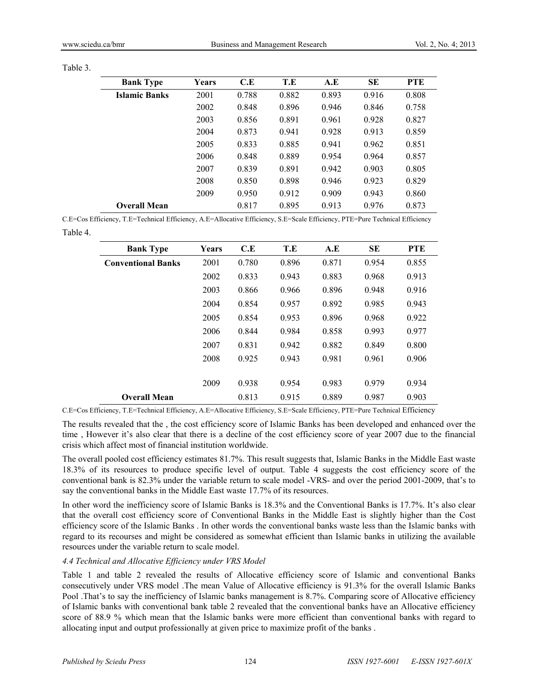| <b>Bank Type</b>    | Years | C.E   | T.E   | A.E   | <b>SE</b> | <b>PTE</b> |
|---------------------|-------|-------|-------|-------|-----------|------------|
| Islamic Banks       | 2001  | 0.788 | 0.882 | 0.893 | 0.916     | 0.808      |
|                     | 2002  | 0.848 | 0.896 | 0.946 | 0.846     | 0.758      |
|                     | 2003  | 0.856 | 0.891 | 0.961 | 0.928     | 0.827      |
|                     | 2004  | 0.873 | 0.941 | 0.928 | 0.913     | 0.859      |
|                     | 2005  | 0.833 | 0.885 | 0.941 | 0.962     | 0.851      |
|                     | 2006  | 0.848 | 0.889 | 0.954 | 0.964     | 0.857      |
|                     | 2007  | 0.839 | 0.891 | 0.942 | 0.903     | 0.805      |
|                     | 2008  | 0.850 | 0.898 | 0.946 | 0.923     | 0.829      |
|                     | 2009  | 0.950 | 0.912 | 0.909 | 0.943     | 0.860      |
| <b>Overall Mean</b> |       | 0.817 | 0.895 | 0.913 | 0.976     | 0.873      |

Table 3.

C.E=Cos Efficiency, T.E=Technical Efficiency, A.E=Allocative Efficiency, S.E=Scale Efficiency, PTE=Pure Technical Efficiency Table 4.

| <b>Bank Type</b>          | Years | C.E   | T.E   | A.E   | <b>SE</b> | <b>PTE</b> |
|---------------------------|-------|-------|-------|-------|-----------|------------|
| <b>Conventional Banks</b> | 2001  | 0.780 | 0.896 | 0.871 | 0.954     | 0.855      |
|                           | 2002  | 0.833 | 0.943 | 0.883 | 0.968     | 0.913      |
|                           | 2003  | 0.866 | 0.966 | 0.896 | 0.948     | 0.916      |
|                           | 2004  | 0.854 | 0.957 | 0.892 | 0.985     | 0.943      |
|                           | 2005  | 0.854 | 0.953 | 0.896 | 0.968     | 0.922      |
|                           | 2006  | 0.844 | 0.984 | 0.858 | 0.993     | 0.977      |
|                           | 2007  | 0.831 | 0.942 | 0.882 | 0.849     | 0.800      |
|                           | 2008  | 0.925 | 0.943 | 0.981 | 0.961     | 0.906      |
|                           | 2009  | 0.938 | 0.954 | 0.983 | 0.979     | 0.934      |
| <b>Overall Mean</b>       |       | 0.813 | 0.915 | 0.889 | 0.987     | 0.903      |
|                           |       |       |       |       |           |            |

C.E=Cos Efficiency, T.E=Technical Efficiency, A.E=Allocative Efficiency, S.E=Scale Efficiency, PTE=Pure Technical Efficiency

The results revealed that the , the cost efficiency score of Islamic Banks has been developed and enhanced over the time , However it's also clear that there is a decline of the cost efficiency score of year 2007 due to the financial crisis which affect most of financial institution worldwide.

The overall pooled cost efficiency estimates 81.7%. This result suggests that, Islamic Banks in the Middle East waste 18.3% of its resources to produce specific level of output. Table 4 suggests the cost efficiency score of the conventional bank is 82.3% under the variable return to scale model -VRS- and over the period 2001-2009, that's to say the conventional banks in the Middle East waste 17.7% of its resources.

In other word the inefficiency score of Islamic Banks is 18.3% and the Conventional Banks is 17.7%. It's also clear that the overall cost efficiency score of Conventional Banks in the Middle East is slightly higher than the Cost efficiency score of the Islamic Banks . In other words the conventional banks waste less than the Islamic banks with regard to its recourses and might be considered as somewhat efficient than Islamic banks in utilizing the available resources under the variable return to scale model.

# *4.4 Technical and Allocative Efficiency under VRS Model*

Table 1 and table 2 revealed the results of Allocative efficiency score of Islamic and conventional Banks consecutively under VRS model .The mean Value of Allocative efficiency is 91.3% for the overall Islamic Banks Pool .That's to say the inefficiency of Islamic banks management is 8.7%. Comparing score of Allocative efficiency of Islamic banks with conventional bank table 2 revealed that the conventional banks have an Allocative efficiency score of 88.9 % which mean that the Islamic banks were more efficient than conventional banks with regard to allocating input and output professionally at given price to maximize profit of the banks .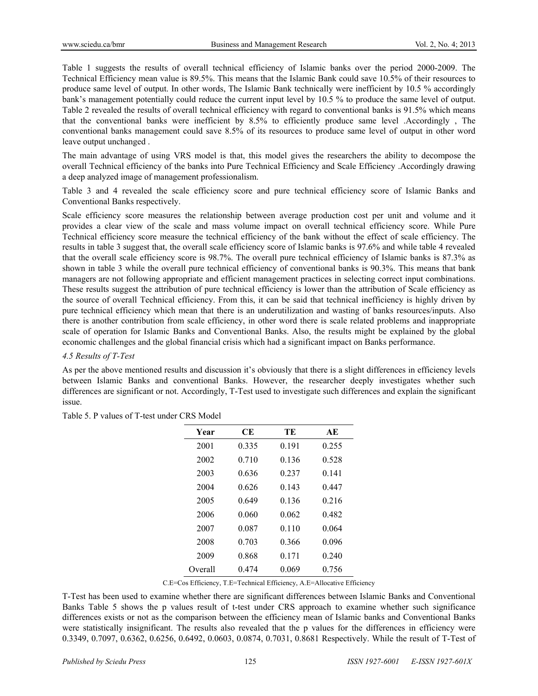Table 1 suggests the results of overall technical efficiency of Islamic banks over the period 2000-2009. The Technical Efficiency mean value is 89.5%. This means that the Islamic Bank could save 10.5% of their resources to produce same level of output. In other words, The Islamic Bank technically were inefficient by 10.5 % accordingly bank's management potentially could reduce the current input level by 10.5 % to produce the same level of output. Table 2 revealed the results of overall technical efficiency with regard to conventional banks is 91.5% which means that the conventional banks were inefficient by 8.5% to efficiently produce same level .Accordingly , The conventional banks management could save 8.5% of its resources to produce same level of output in other word leave output unchanged .

The main advantage of using VRS model is that, this model gives the researchers the ability to decompose the overall Technical efficiency of the banks into Pure Technical Efficiency and Scale Efficiency .Accordingly drawing a deep analyzed image of management professionalism.

Table 3 and 4 revealed the scale efficiency score and pure technical efficiency score of Islamic Banks and Conventional Banks respectively.

Scale efficiency score measures the relationship between average production cost per unit and volume and it provides a clear view of the scale and mass volume impact on overall technical efficiency score. While Pure Technical efficiency score measure the technical efficiency of the bank without the effect of scale efficiency. The results in table 3 suggest that, the overall scale efficiency score of Islamic banks is 97.6% and while table 4 revealed that the overall scale efficiency score is 98.7%. The overall pure technical efficiency of Islamic banks is 87.3% as shown in table 3 while the overall pure technical efficiency of conventional banks is 90.3%. This means that bank managers are not following appropriate and efficient management practices in selecting correct input combinations. These results suggest the attribution of pure technical efficiency is lower than the attribution of Scale efficiency as the source of overall Technical efficiency. From this, it can be said that technical inefficiency is highly driven by pure technical efficiency which mean that there is an underutilization and wasting of banks resources/inputs. Also there is another contribution from scale efficiency, in other word there is scale related problems and inappropriate scale of operation for Islamic Banks and Conventional Banks. Also, the results might be explained by the global economic challenges and the global financial crisis which had a significant impact on Banks performance.

#### *4.5 Results of T-Test*

As per the above mentioned results and discussion it's obviously that there is a slight differences in efficiency levels between Islamic Banks and conventional Banks. However, the researcher deeply investigates whether such differences are significant or not. Accordingly, T-Test used to investigate such differences and explain the significant issue.

| Year    | CЕ    | TЕ      | AЕ    |
|---------|-------|---------|-------|
| 2001    | 0.335 | 0.191   | 0.255 |
| 2002    | 0.710 | 0 1 3 6 | 0.528 |
| 2003    | 0.636 | 0.237   | 0.141 |
| 2004    | 0.626 | 0.143   | 0.447 |
| 2005    | 0.649 | 0.136   | 0.216 |
| 2006    | 0.060 | 0.062   | 0.482 |
| 2007    | 0.087 | 0.110   | 0.064 |
| 2008    | 0.703 | 0 366   | 0.096 |
| 2009    | 0.868 | 0 1 7 1 | 0240  |
| Overall | 0.474 | 0.069   | 0.756 |

Table 5. P values of T-test under CRS Model

C.E=Cos Efficiency, T.E=Technical Efficiency, A.E=Allocative Efficiency

T-Test has been used to examine whether there are significant differences between Islamic Banks and Conventional Banks Table 5 shows the p values result of t-test under CRS approach to examine whether such significance differences exists or not as the comparison between the efficiency mean of Islamic banks and Conventional Banks were statistically insignificant. The results also revealed that the p values for the differences in efficiency were 0.3349, 0.7097, 0.6362, 0.6256, 0.6492, 0.0603, 0.0874, 0.7031, 0.8681 Respectively. While the result of T-Test of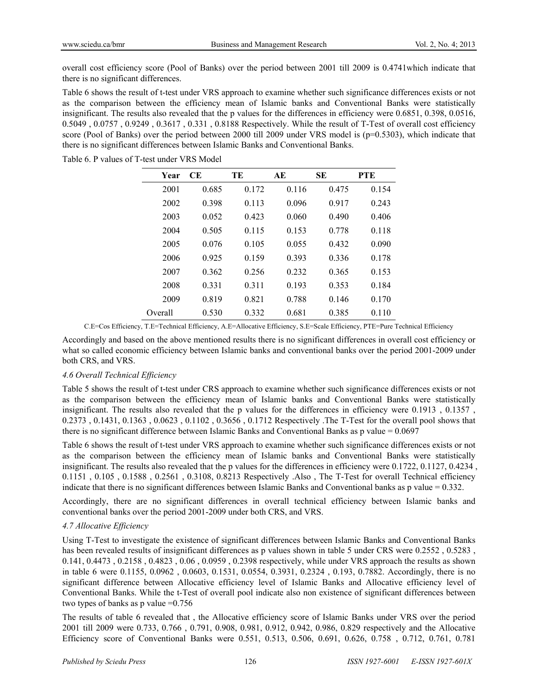overall cost efficiency score (Pool of Banks) over the period between 2001 till 2009 is 0.4741which indicate that there is no significant differences.

Table 6 shows the result of t-test under VRS approach to examine whether such significance differences exists or not as the comparison between the efficiency mean of Islamic banks and Conventional Banks were statistically insignificant. The results also revealed that the p values for the differences in efficiency were 0.6851, 0.398, 0.0516, 0.5049 , 0.0757 , 0.9249 , 0.3617 , 0.331 , 0.8188 Respectively. While the result of T-Test of overall cost efficiency score (Pool of Banks) over the period between 2000 till 2009 under VRS model is (p=0.5303), which indicate that there is no significant differences between Islamic Banks and Conventional Banks.

Table 6. P values of T-test under VRS Model

| Year    | CE    | TЕ    | АE    | SE    | <b>PTE</b> |
|---------|-------|-------|-------|-------|------------|
| 2001    | 0.685 | 0.172 | 0.116 | 0.475 | 0.154      |
| 2002    | 0.398 | 0.113 | 0.096 | 0.917 | 0.243      |
| 2003    | 0.052 | 0.423 | 0.060 | 0.490 | 0.406      |
| 2004    | 0.505 | 0.115 | 0.153 | 0.778 | 0.118      |
| 2005    | 0.076 | 0.105 | 0.055 | 0.432 | 0.090      |
| 2006    | 0.925 | 0.159 | 0.393 | 0.336 | 0.178      |
| 2007    | 0.362 | 0.256 | 0.232 | 0.365 | 0.153      |
| 2008    | 0.331 | 0.311 | 0.193 | 0.353 | 0.184      |
| 2009    | 0.819 | 0.821 | 0.788 | 0.146 | 0.170      |
| Overall | 0.530 | 0.332 | 0.681 | 0.385 | 0.110      |

C.E=Cos Efficiency, T.E=Technical Efficiency, A.E=Allocative Efficiency, S.E=Scale Efficiency, PTE=Pure Technical Efficiency

Accordingly and based on the above mentioned results there is no significant differences in overall cost efficiency or what so called economic efficiency between Islamic banks and conventional banks over the period 2001-2009 under both CRS, and VRS.

# *4.6 Overall Technical Efficiency*

Table 5 shows the result of t-test under CRS approach to examine whether such significance differences exists or not as the comparison between the efficiency mean of Islamic banks and Conventional Banks were statistically insignificant. The results also revealed that the p values for the differences in efficiency were 0.1913 , 0.1357 , 0.2373 , 0.1431, 0.1363 , 0.0623 , 0.1102 , 0.3656 , 0.1712 Respectively .The T-Test for the overall pool shows that there is no significant difference between Islamic Banks and Conventional Banks as p value = 0.0697

Table 6 shows the result of t-test under VRS approach to examine whether such significance differences exists or not as the comparison between the efficiency mean of Islamic banks and Conventional Banks were statistically insignificant. The results also revealed that the p values for the differences in efficiency were 0.1722, 0.1127, 0.4234 , 0.1151 , 0.105 , 0.1588 , 0.2561 , 0.3108, 0.8213 Respectively .Also , The T-Test for overall Technical efficiency indicate that there is no significant differences between Islamic Banks and Conventional banks as p value = 0.332.

Accordingly, there are no significant differences in overall technical efficiency between Islamic banks and conventional banks over the period 2001-2009 under both CRS, and VRS.

# *4.7 Allocative Efficiency*

Using T-Test to investigate the existence of significant differences between Islamic Banks and Conventional Banks has been revealed results of insignificant differences as p values shown in table 5 under CRS were 0.2552 , 0.5283, 0.141, 0.4473 , 0.2158 , 0.4823 , 0.06 , 0.0959 , 0.2398 respectively, while under VRS approach the results as shown in table 6 were 0.1155, 0.0962 , 0.0603, 0.1531, 0.0554, 0.3931, 0.2324 , 0.193, 0.7882. Accordingly, there is no significant difference between Allocative efficiency level of Islamic Banks and Allocative efficiency level of Conventional Banks. While the t-Test of overall pool indicate also non existence of significant differences between two types of banks as p value  $=0.756$ 

The results of table 6 revealed that , the Allocative efficiency score of Islamic Banks under VRS over the period 2001 till 2009 were 0.733, 0.766 , 0.791, 0.908, 0.981, 0.912, 0.942, 0.986, 0.829 respectively and the Allocative Efficiency score of Conventional Banks were 0.551, 0.513, 0.506, 0.691, 0.626, 0.758 , 0.712, 0.761, 0.781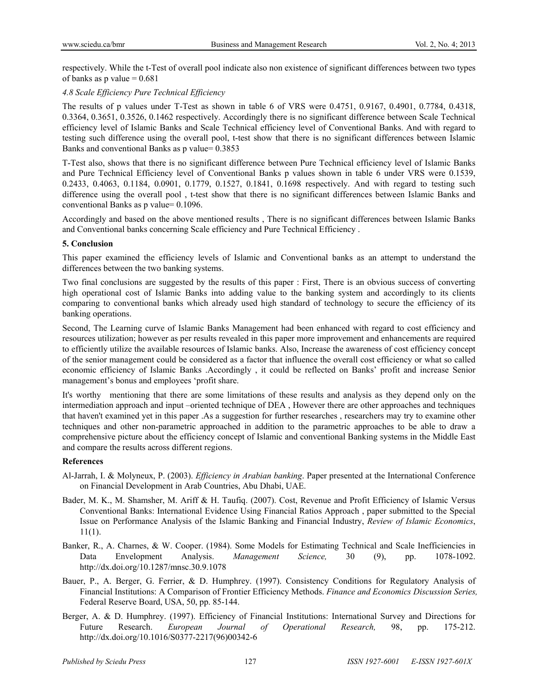respectively. While the t-Test of overall pool indicate also non existence of significant differences between two types of banks as p value  $= 0.681$ 

# *4.8 Scale Efficiency Pure Technical Efficiency*

The results of p values under T-Test as shown in table 6 of VRS were 0.4751, 0.9167, 0.4901, 0.7784, 0.4318, 0.3364, 0.3651, 0.3526, 0.1462 respectively. Accordingly there is no significant difference between Scale Technical efficiency level of Islamic Banks and Scale Technical efficiency level of Conventional Banks. And with regard to testing such difference using the overall pool, t-test show that there is no significant differences between Islamic Banks and conventional Banks as p value= 0.3853

T-Test also, shows that there is no significant difference between Pure Technical efficiency level of Islamic Banks and Pure Technical Efficiency level of Conventional Banks p values shown in table 6 under VRS were 0.1539, 0.2433, 0.4063, 0.1184, 0.0901, 0.1779, 0.1527, 0.1841, 0.1698 respectively. And with regard to testing such difference using the overall pool , t-test show that there is no significant differences between Islamic Banks and conventional Banks as p value= 0.1096.

Accordingly and based on the above mentioned results , There is no significant differences between Islamic Banks and Conventional banks concerning Scale efficiency and Pure Technical Efficiency .

# **5. Conclusion**

This paper examined the efficiency levels of Islamic and Conventional banks as an attempt to understand the differences between the two banking systems.

Two final conclusions are suggested by the results of this paper : First, There is an obvious success of converting high operational cost of Islamic Banks into adding value to the banking system and accordingly to its clients comparing to conventional banks which already used high standard of technology to secure the efficiency of its banking operations.

Second, The Learning curve of Islamic Banks Management had been enhanced with regard to cost efficiency and resources utilization; however as per results revealed in this paper more improvement and enhancements are required to efficiently utilize the available resources of Islamic banks. Also, Increase the awareness of cost efficiency concept of the senior management could be considered as a factor that influence the overall cost efficiency or what so called economic efficiency of Islamic Banks .Accordingly , it could be reflected on Banks' profit and increase Senior management's bonus and employees 'profit share.

It's worthy mentioning that there are some limitations of these results and analysis as they depend only on the intermediation approach and input –oriented technique of DEA , However there are other approaches and techniques that haven't examined yet in this paper .As a suggestion for further researches , researchers may try to examine other techniques and other non-parametric approached in addition to the parametric approaches to be able to draw a comprehensive picture about the efficiency concept of Islamic and conventional Banking systems in the Middle East and compare the results across different regions.

# **References**

- Al-Jarrah, I. & Molyneux, P. (2003). *Efficiency in Arabian banking*. Paper presented at the International Conference on Financial Development in Arab Countries, Abu Dhabi, UAE.
- Bader, M. K., M. Shamsher, M. Ariff & H. Taufiq. (2007). Cost, Revenue and Profit Efficiency of Islamic Versus Conventional Banks: International Evidence Using Financial Ratios Approach , paper submitted to the Special Issue on Performance Analysis of the Islamic Banking and Financial Industry, *Review of Islamic Economics*,  $11(1)$ .
- Banker, R., A. Charnes, & W. Cooper. (1984). Some Models for Estimating Technical and Scale Inefficiencies in Data Envelopment Analysis. *Management Science,* 30 (9), pp. 1078-1092. http://dx.doi.org/10.1287/mnsc.30.9.1078
- Bauer, P., A. Berger, G. Ferrier, & D. Humphrey. (1997). Consistency Conditions for Regulatory Analysis of Financial Institutions: A Comparison of Frontier Efficiency Methods. *Finance and Economics Discussion Series,*  Federal Reserve Board, USA, 50, pp. 85-144.
- Berger, A. & D. Humphrey. (1997). Efficiency of Financial Institutions: International Survey and Directions for Future Research. *European Journal of Operational Research,* 98, pp. 175-212. http://dx.doi.org/10.1016/S0377-2217(96)00342-6